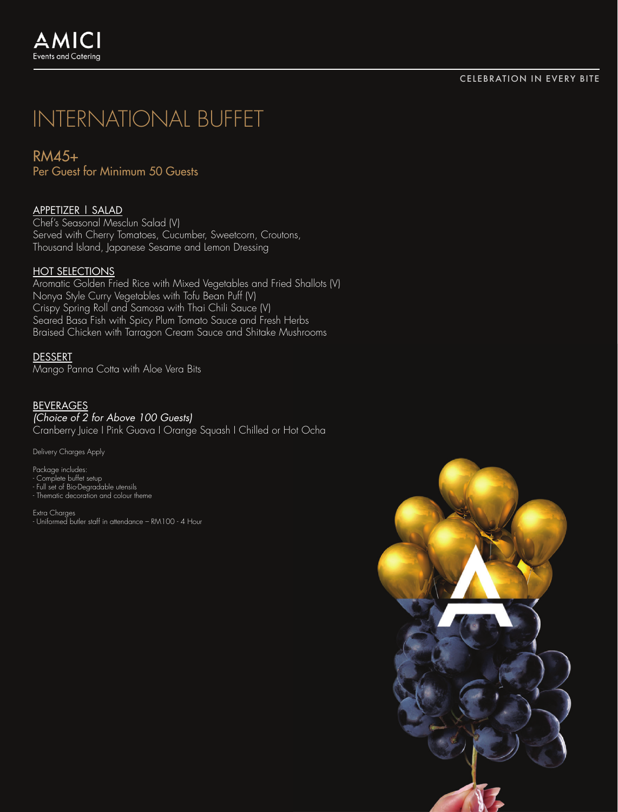RM45+ Per Guest for Minimum 50 Guests

# APPETIZER | SALAD

Chef's Seasonal Mesclun Salad (V) Served with Cherry Tomatoes, Cucumber, Sweetcorn, Croutons, Thousand Island, Japanese Sesame and Lemon Dressing

## HOT SELECTIONS

Aromatic Golden Fried Rice with Mixed Vegetables and Fried Shallots (V) Nonya Style Curry Vegetables with Tofu Bean Puff (V) Crispy Spring Roll and Samosa with Thai Chili Sauce (V) Seared Basa Fish with Spicy Plum Tomato Sauce and Fresh Herbs Braised Chicken with Tarragon Cream Sauce and Shitake Mushrooms

#### DESSERT

Mango Panna Cotta with Aloe Vera Bits

#### BEVERAGES *(Choice of 2 for Above 100 Guests)*

Cranberry Juice I Pink Guava I Orange Squash I Chilled or Hot Ocha

Delivery Charges Apply

Package includes: - Complete buffet setup - Full set of Bio-Degradable utensils - Thematic decoration and colour theme

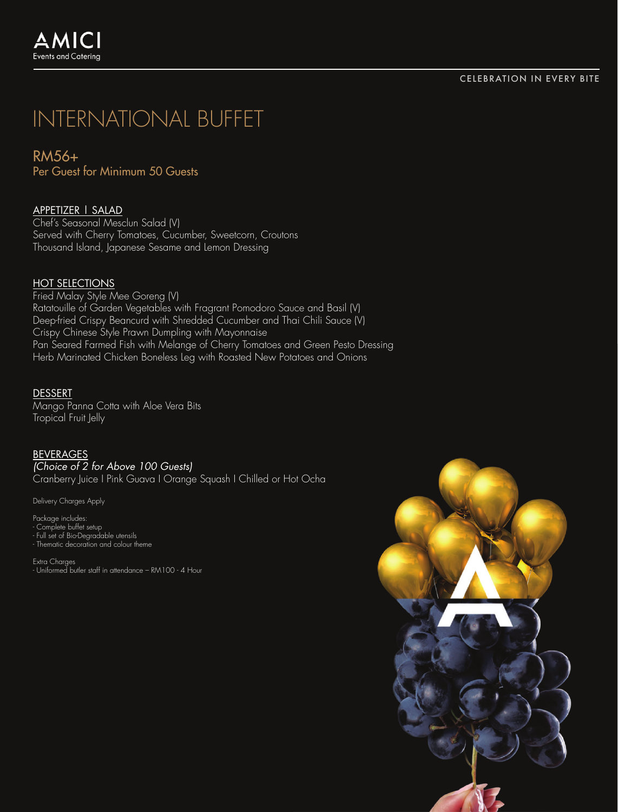RM56+ Per Guest for Minimum 50 Guests

# APPETIZER | SALAD

Chef's Seasonal Mesclun Salad (V) Served with Cherry Tomatoes, Cucumber, Sweetcorn, Croutons Thousand Island, Japanese Sesame and Lemon Dressing

## **HOT SELECTIONS**

Fried Malay Style Mee Goreng (V) Ratatouille of Garden Vegetables with Fragrant Pomodoro Sauce and Basil (V) Deep-fried Crispy Beancurd with Shredded Cucumber and Thai Chili Sauce (V) Crispy Chinese Style Prawn Dumpling with Mayonnaise Pan Seared Farmed Fish with Melange of Cherry Tomatoes and Green Pesto Dressing Herb Marinated Chicken Boneless Leg with Roasted New Potatoes and Onions

#### DESSERT

Mango Panna Cotta with Aloe Vera Bits Tropical Fruit Jelly

#### BEVERAGES

*(Choice of 2 for Above 100 Guests)* Cranberry Juice I Pink Guava I Orange Squash I Chilled or Hot Ocha

Delivery Charges Apply

Package includes:

- 
- Complete buffet setup Full set of Bio-Degradable utensils Thematic decoration and colour theme

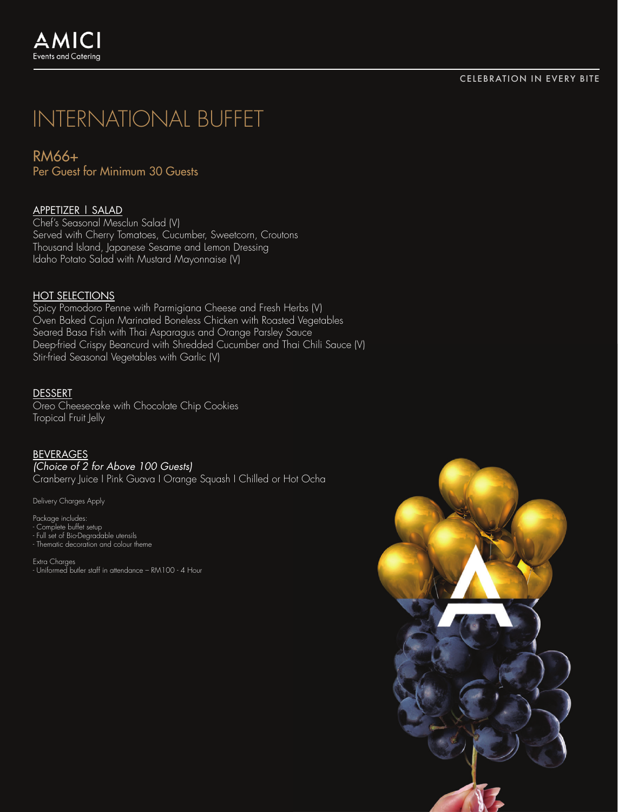RM66+ Per Guest for Minimum 30 Guests

# APPETIZER | SALAD

Chef's Seasonal Mesclun Salad (V) Served with Cherry Tomatoes, Cucumber, Sweetcorn, Croutons Thousand Island, Japanese Sesame and Lemon Dressing Idaho Potato Salad with Mustard Mayonnaise (V)

## HOT SELECTIONS

Spicy Pomodoro Penne with Parmigiana Cheese and Fresh Herbs (V) Oven Baked Cajun Marinated Boneless Chicken with Roasted Vegetables Seared Basa Fish with Thai Asparagus and Orange Parsley Sauce Deep-fried Crispy Beancurd with Shredded Cucumber and Thai Chili Sauce (V) Stir-fried Seasonal Vegetables with Garlic (V)

#### DESSERT

Oreo Cheesecake with Chocolate Chip Cookies Tropical Fruit Jelly

#### BEVERAGES

*(Choice of 2 for Above 100 Guests)* Cranberry Juice I Pink Guava I Orange Squash I Chilled or Hot Ocha

Delivery Charges Apply

Package includes:

- Complete buffet setup - Full set of Bio-Degradable utensils - Thematic decoration and colour theme

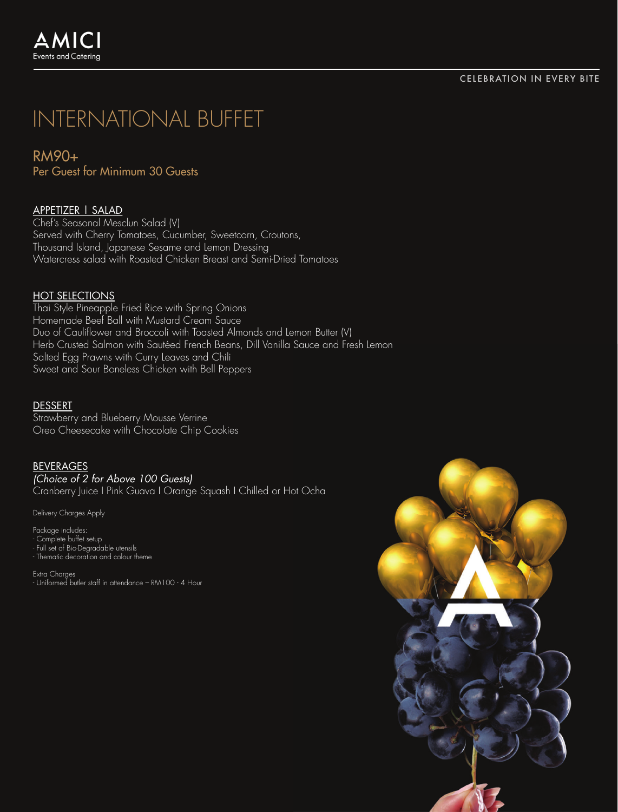RM90+ Per Guest for Minimum 30 Guests

# APPETIZER | SALAD

Chef's Seasonal Mesclun Salad (V) Served with Cherry Tomatoes, Cucumber, Sweetcorn, Croutons, Thousand Island, Japanese Sesame and Lemon Dressing Watercress salad with Roasted Chicken Breast and Semi-Dried Tomatoes

## HOT SELECTIONS

Thai Style Pineapple Fried Rice with Spring Onions Homemade Beef Ball with Mustard Cream Sauce Duo of Cauliflower and Broccoli with Toasted Almonds and Lemon Butter (V) Herb Crusted Salmon with Sautéed French Beans, Dill Vanilla Sauce and Fresh Lemon Salted Egg Prawns with Curry Leaves and Chili Sweet and Sour Boneless Chicken with Bell Peppers

### DESSERT

Strawberry and Blueberry Mousse Verrine Oreo Cheesecake with Chocolate Chip Cookies

## BEVERAGES

*(Choice of 2 for Above 100 Guests)*

Cranberry Juice I Pink Guava I Orange Squash I Chilled or Hot Ocha

Delivery Charges Apply

Package includes: - Complete buffet setup - Full set of Bio-Degradable utensils - Thematic decoration and colour theme